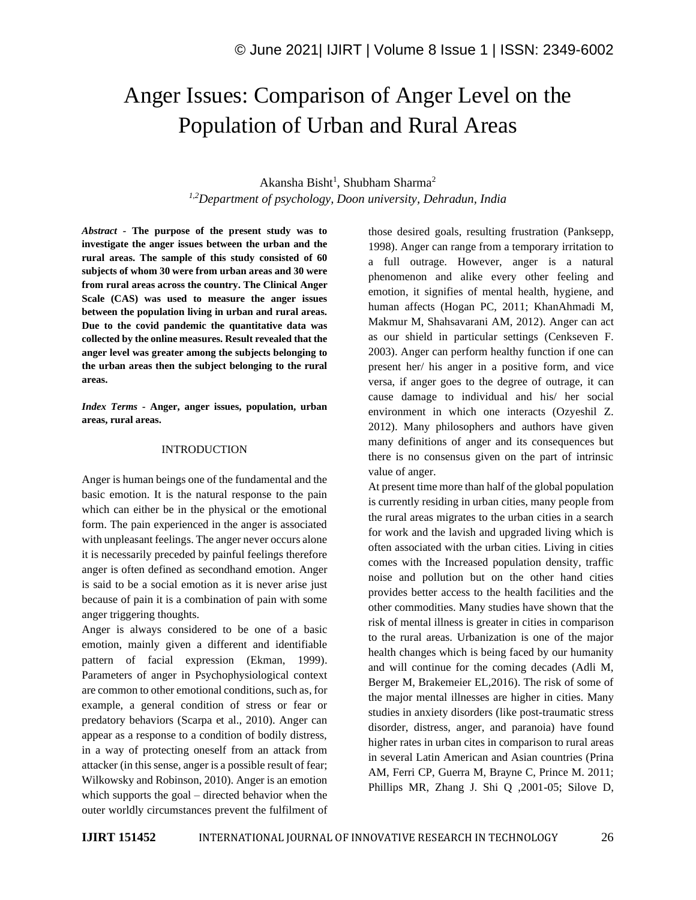# Anger Issues: Comparison of Anger Level on the Population of Urban and Rural Areas

## Akansha Bisht<sup>1</sup>, Shubham Sharma<sup>2</sup> *1,2Department of psychology, Doon university, Dehradun, India*

*Abstract -* **The purpose of the present study was to investigate the anger issues between the urban and the rural areas. The sample of this study consisted of 60 subjects of whom 30 were from urban areas and 30 were from rural areas across the country. The Clinical Anger Scale (CAS) was used to measure the anger issues between the population living in urban and rural areas. Due to the covid pandemic the quantitative data was collected by the online measures. Result revealed that the anger level was greater among the subjects belonging to the urban areas then the subject belonging to the rural areas.**

*Index Terms -* **Anger, anger issues, population, urban areas, rural areas.**

#### INTRODUCTION

Anger is human beings one of the fundamental and the basic emotion. It is the natural response to the pain which can either be in the physical or the emotional form. The pain experienced in the anger is associated with unpleasant feelings. The anger never occurs alone it is necessarily preceded by painful feelings therefore anger is often defined as secondhand emotion. Anger is said to be a social emotion as it is never arise just because of pain it is a combination of pain with some anger triggering thoughts.

Anger is always considered to be one of a basic emotion, mainly given a different and identifiable pattern of facial expression (Ekman, 1999). Parameters of anger in Psychophysiological context are common to other emotional conditions, such as, for example, a general condition of stress or fear or predatory behaviors (Scarpa et al., 2010). Anger can appear as a response to a condition of bodily distress, in a way of protecting oneself from an attack from attacker (in this sense, anger is a possible result of fear; Wilkowsky and Robinson, 2010). Anger is an emotion which supports the goal – directed behavior when the outer worldly circumstances prevent the fulfilment of those desired goals, resulting frustration (Panksepp, 1998). Anger can range from a temporary irritation to a full outrage. However, anger is a natural phenomenon and alike every other feeling and emotion, it signifies of mental health, hygiene, and human affects (Hogan PC, 2011; KhanAhmadi M, Makmur M, Shahsavarani AM, 2012). Anger can act as our shield in particular settings (Cenkseven F. 2003). Anger can perform healthy function if one can present her/ his anger in a positive form, and vice versa, if anger goes to the degree of outrage, it can cause damage to individual and his/ her social environment in which one interacts (Ozyeshil Z. 2012). Many philosophers and authors have given many definitions of anger and its consequences but there is no consensus given on the part of intrinsic value of anger.

At present time more than half of the global population is currently residing in urban cities, many people from the rural areas migrates to the urban cities in a search for work and the lavish and upgraded living which is often associated with the urban cities. Living in cities comes with the Increased population density, traffic noise and pollution but on the other hand cities provides better access to the health facilities and the other commodities. Many studies have shown that the risk of mental illness is greater in cities in comparison to the rural areas. Urbanization is one of the major health changes which is being faced by our humanity and will continue for the coming decades (Adli M, Berger M, Brakemeier EL,2016). The risk of some of the major mental illnesses are higher in cities. Many studies in anxiety disorders (like post-traumatic stress disorder, distress, anger, and paranoia) have found higher rates in urban cites in comparison to rural areas in several Latin American and Asian countries (Prina AM, Ferri CP, Guerra M, Brayne C, Prince M. 2011; Phillips MR, Zhang J. Shi Q ,2001-05; Silove D,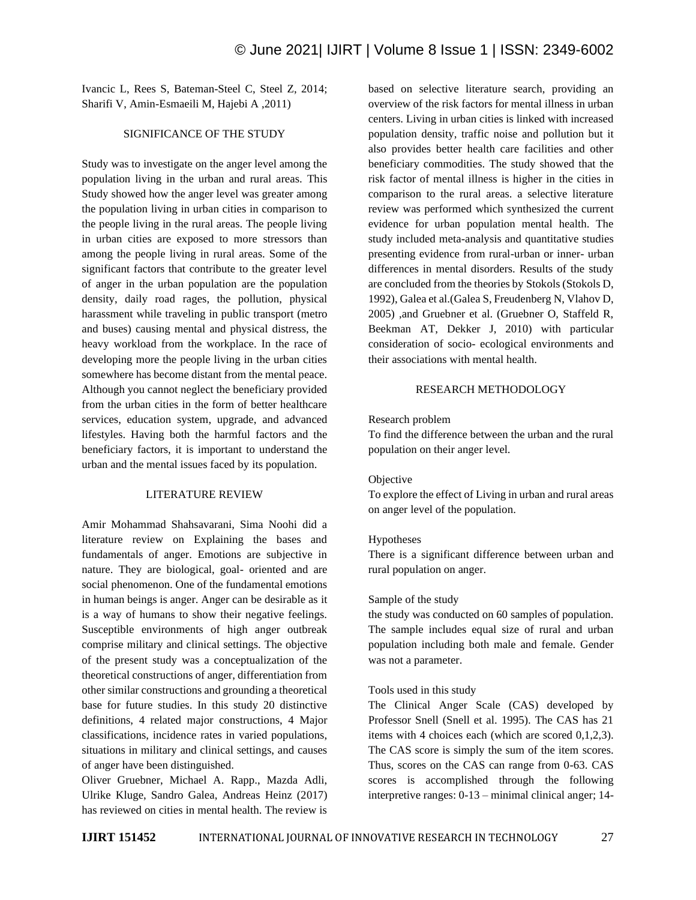Ivancic L, Rees S, Bateman-Steel C, Steel Z, 2014; Sharifi V, Amin-Esmaeili M, Hajebi A ,2011)

## SIGNIFICANCE OF THE STUDY

Study was to investigate on the anger level among the population living in the urban and rural areas. This Study showed how the anger level was greater among the population living in urban cities in comparison to the people living in the rural areas. The people living in urban cities are exposed to more stressors than among the people living in rural areas. Some of the significant factors that contribute to the greater level of anger in the urban population are the population density, daily road rages, the pollution, physical harassment while traveling in public transport (metro and buses) causing mental and physical distress, the heavy workload from the workplace. In the race of developing more the people living in the urban cities somewhere has become distant from the mental peace. Although you cannot neglect the beneficiary provided from the urban cities in the form of better healthcare services, education system, upgrade, and advanced lifestyles. Having both the harmful factors and the beneficiary factors, it is important to understand the urban and the mental issues faced by its population.

#### LITERATURE REVIEW

Amir Mohammad Shahsavarani, Sima Noohi did a literature review on Explaining the bases and fundamentals of anger. Emotions are subjective in nature. They are biological, goal- oriented and are social phenomenon. One of the fundamental emotions in human beings is anger. Anger can be desirable as it is a way of humans to show their negative feelings. Susceptible environments of high anger outbreak comprise military and clinical settings. The objective of the present study was a conceptualization of the theoretical constructions of anger, differentiation from other similar constructions and grounding a theoretical base for future studies. In this study 20 distinctive definitions, 4 related major constructions, 4 Major classifications, incidence rates in varied populations, situations in military and clinical settings, and causes of anger have been distinguished.

Oliver Gruebner, Michael A. Rapp., Mazda Adli, Ulrike Kluge, Sandro Galea, Andreas Heinz (2017) has reviewed on cities in mental health. The review is based on selective literature search, providing an overview of the risk factors for mental illness in urban centers. Living in urban cities is linked with increased population density, traffic noise and pollution but it also provides better health care facilities and other beneficiary commodities. The study showed that the risk factor of mental illness is higher in the cities in comparison to the rural areas. a selective literature review was performed which synthesized the current evidence for urban population mental health. The study included meta-analysis and quantitative studies presenting evidence from rural-urban or inner- urban differences in mental disorders. Results of the study are concluded from the theories by Stokols (Stokols D, 1992), Galea et al.(Galea S, Freudenberg N, Vlahov D, 2005) ,and Gruebner et al. (Gruebner O, Staffeld R, Beekman AT, Dekker J, 2010) with particular consideration of socio- ecological environments and their associations with mental health.

## RESEARCH METHODOLOGY

Research problem

To find the difference between the urban and the rural population on their anger level.

#### Objective

To explore the effect of Living in urban and rural areas on anger level of the population.

#### Hypotheses

There is a significant difference between urban and rural population on anger.

#### Sample of the study

the study was conducted on 60 samples of population. The sample includes equal size of rural and urban population including both male and female. Gender was not a parameter.

#### Tools used in this study

The Clinical Anger Scale (CAS) developed by Professor Snell (Snell et al. 1995). The CAS has 21 items with 4 choices each (which are scored 0,1,2,3). The CAS score is simply the sum of the item scores. Thus, scores on the CAS can range from 0-63. CAS scores is accomplished through the following interpretive ranges: 0-13 – minimal clinical anger; 14-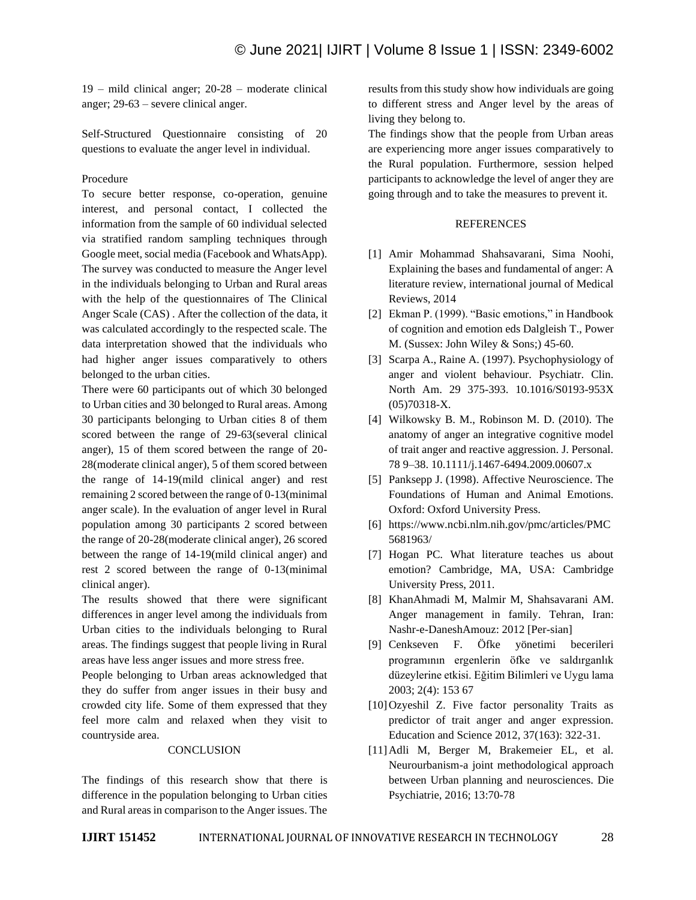19 – mild clinical anger; 20-28 – moderate clinical anger; 29-63 – severe clinical anger.

Self-Structured Questionnaire consisting of 20 questions to evaluate the anger level in individual.

## Procedure

To secure better response, co-operation, genuine interest, and personal contact, I collected the information from the sample of 60 individual selected via stratified random sampling techniques through Google meet, social media (Facebook and WhatsApp). The survey was conducted to measure the Anger level in the individuals belonging to Urban and Rural areas with the help of the questionnaires of The Clinical Anger Scale (CAS) . After the collection of the data, it was calculated accordingly to the respected scale. The data interpretation showed that the individuals who had higher anger issues comparatively to others belonged to the urban cities.

There were 60 participants out of which 30 belonged to Urban cities and 30 belonged to Rural areas. Among 30 participants belonging to Urban cities 8 of them scored between the range of 29-63(several clinical anger), 15 of them scored between the range of 20- 28(moderate clinical anger), 5 of them scored between the range of 14-19(mild clinical anger) and rest remaining 2 scored between the range of 0-13(minimal anger scale). In the evaluation of anger level in Rural population among 30 participants 2 scored between the range of 20-28(moderate clinical anger), 26 scored between the range of 14-19(mild clinical anger) and rest 2 scored between the range of 0-13(minimal clinical anger).

The results showed that there were significant differences in anger level among the individuals from Urban cities to the individuals belonging to Rural areas. The findings suggest that people living in Rural areas have less anger issues and more stress free.

People belonging to Urban areas acknowledged that they do suffer from anger issues in their busy and crowded city life. Some of them expressed that they feel more calm and relaxed when they visit to countryside area.

#### **CONCLUSION**

The findings of this research show that there is difference in the population belonging to Urban cities and Rural areas in comparison to the Anger issues. The results from this study show how individuals are going to different stress and Anger level by the areas of living they belong to.

The findings show that the people from Urban areas are experiencing more anger issues comparatively to the Rural population. Furthermore, session helped participants to acknowledge the level of anger they are going through and to take the measures to prevent it.

#### REFERENCES

- [1] Amir Mohammad Shahsavarani, Sima Noohi, Explaining the bases and fundamental of anger: A literature review, international journal of Medical Reviews, 2014
- [2] Ekman P. (1999). "Basic emotions," in Handbook of cognition and emotion eds Dalgleish T., Power M. (Sussex: John Wiley & Sons;) 45-60.
- [3] Scarpa A., Raine A. (1997). Psychophysiology of anger and violent behaviour. Psychiatr. Clin. North Am. 29 375-393. 10.1016/S0193-953X (05)70318-X.
- [4] Wilkowsky B. M., Robinson M. D. (2010). The anatomy of anger an integrative cognitive model of trait anger and reactive aggression. J. Personal. 78 9–38. 10.1111/j.1467-6494.2009.00607.x
- [5] Panksepp J. (1998). Affective Neuroscience. The Foundations of Human and Animal Emotions. Oxford: Oxford University Press.
- [6] https://www.ncbi.nlm.nih.gov/pmc/articles/PMC 5681963/
- [7] Hogan PC. What literature teaches us about emotion? Cambridge, MA, USA: Cambridge University Press, 2011.
- [8] KhanAhmadi M, Malmir M, Shahsavarani AM. Anger management in family. Tehran, Iran: Nashr-e-DaneshAmouz: 2012 [Per-sian]
- [9] Cenkseven F. Öfke yönetimi becerileri programının ergenlerin öfke ve saldırganlık düzeylerine etkisi. Eğitim Bilimleri ve Uygu lama 2003; 2(4): 153 67
- [10] Ozyeshil Z. Five factor personality Traits as predictor of trait anger and anger expression. Education and Science 2012, 37(163): 322-31.
- [11]Adli M, Berger M, Brakemeier EL, et al. Neurourbanism-a joint methodological approach between Urban planning and neurosciences. Die Psychiatrie, 2016; 13:70-78